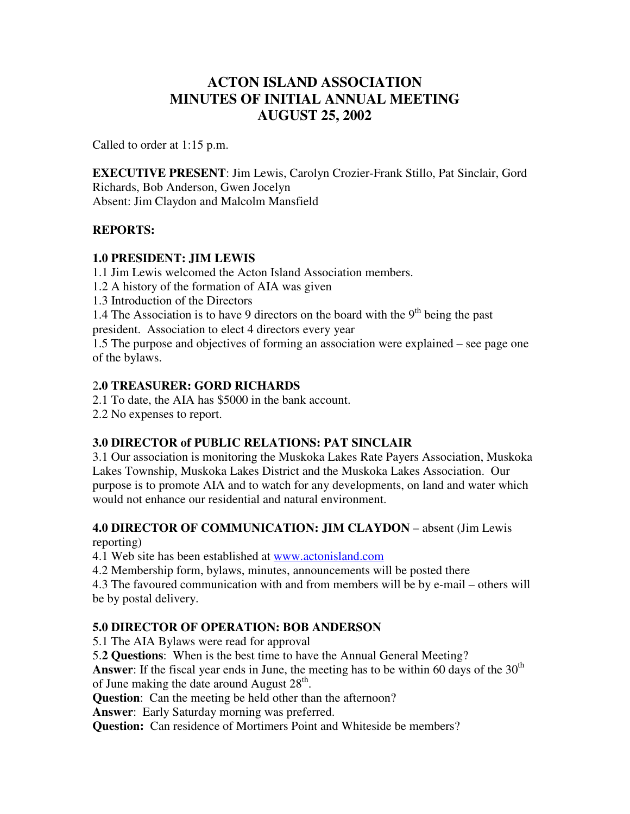# **ACTON ISLAND ASSOCIATION MINUTES OF INITIAL ANNUAL MEETING AUGUST 25, 2002**

Called to order at 1:15 p.m.

**EXECUTIVE PRESENT**: Jim Lewis, Carolyn Crozier-Frank Stillo, Pat Sinclair, Gord Richards, Bob Anderson, Gwen Jocelyn Absent: Jim Claydon and Malcolm Mansfield

#### **REPORTS:**

#### **1.0 PRESIDENT: JIM LEWIS**

1.1 Jim Lewis welcomed the Acton Island Association members.

1.2 A history of the formation of AIA was given

1.3 Introduction of the Directors

1.4 The Association is to have 9 directors on the board with the  $9<sup>th</sup>$  being the past president. Association to elect 4 directors every year

1.5 The purpose and objectives of forming an association were explained – see page one of the bylaws.

#### 2**.0 TREASURER: GORD RICHARDS**

2.1 To date, the AIA has \$5000 in the bank account.

2.2 No expenses to report.

#### **3.0 DIRECTOR of PUBLIC RELATIONS: PAT SINCLAIR**

3.1 Our association is monitoring the Muskoka Lakes Rate Payers Association, Muskoka Lakes Township, Muskoka Lakes District and the Muskoka Lakes Association. Our purpose is to promote AIA and to watch for any developments, on land and water which would not enhance our residential and natural environment.

# **4.0 DIRECTOR OF COMMUNICATION: JIM CLAYDON** – absent (Jim Lewis

reporting)

4.1 Web site has been established at www.actonisland.com

4.2 Membership form, bylaws, minutes, announcements will be posted there

4.3 The favoured communication with and from members will be by e-mail – others will be by postal delivery.

### **5.0 DIRECTOR OF OPERATION: BOB ANDERSON**

5.1 The AIA Bylaws were read for approval

5.**2 Questions**: When is the best time to have the Annual General Meeting?

Answer: If the fiscal year ends in June, the meeting has to be within 60 days of the 30<sup>th</sup> of June making the date around August  $28<sup>th</sup>$ .

**Question**: Can the meeting be held other than the afternoon?

**Answer**: Early Saturday morning was preferred.

**Question:** Can residence of Mortimers Point and Whiteside be members?